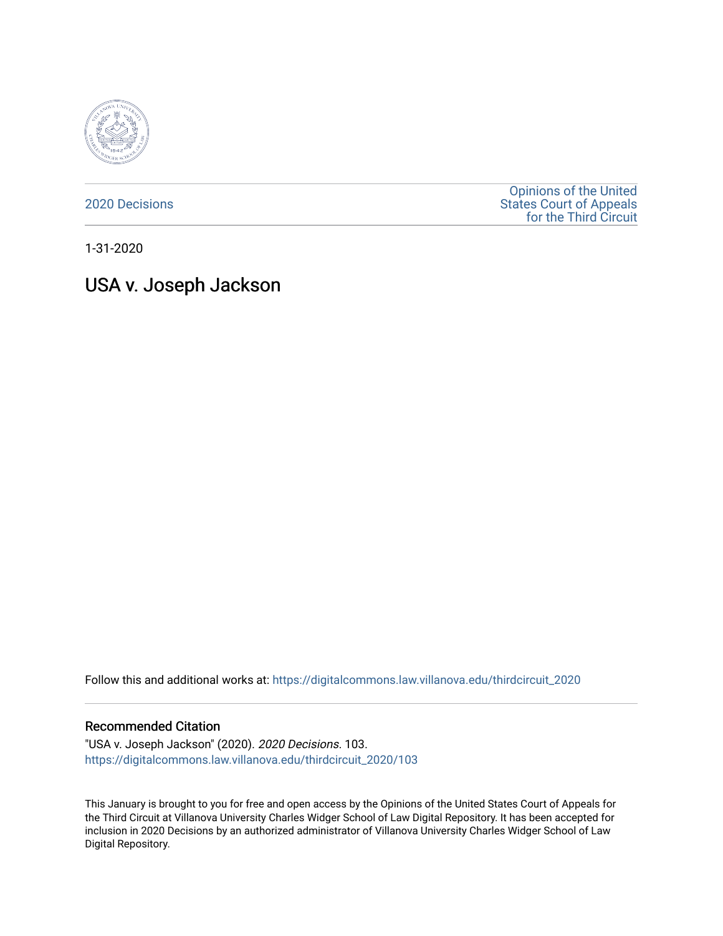

[2020 Decisions](https://digitalcommons.law.villanova.edu/thirdcircuit_2020)

[Opinions of the United](https://digitalcommons.law.villanova.edu/thirdcircuit)  [States Court of Appeals](https://digitalcommons.law.villanova.edu/thirdcircuit)  [for the Third Circuit](https://digitalcommons.law.villanova.edu/thirdcircuit) 

1-31-2020

# USA v. Joseph Jackson

Follow this and additional works at: [https://digitalcommons.law.villanova.edu/thirdcircuit\\_2020](https://digitalcommons.law.villanova.edu/thirdcircuit_2020?utm_source=digitalcommons.law.villanova.edu%2Fthirdcircuit_2020%2F103&utm_medium=PDF&utm_campaign=PDFCoverPages) 

#### Recommended Citation

"USA v. Joseph Jackson" (2020). 2020 Decisions. 103. [https://digitalcommons.law.villanova.edu/thirdcircuit\\_2020/103](https://digitalcommons.law.villanova.edu/thirdcircuit_2020/103?utm_source=digitalcommons.law.villanova.edu%2Fthirdcircuit_2020%2F103&utm_medium=PDF&utm_campaign=PDFCoverPages)

This January is brought to you for free and open access by the Opinions of the United States Court of Appeals for the Third Circuit at Villanova University Charles Widger School of Law Digital Repository. It has been accepted for inclusion in 2020 Decisions by an authorized administrator of Villanova University Charles Widger School of Law Digital Repository.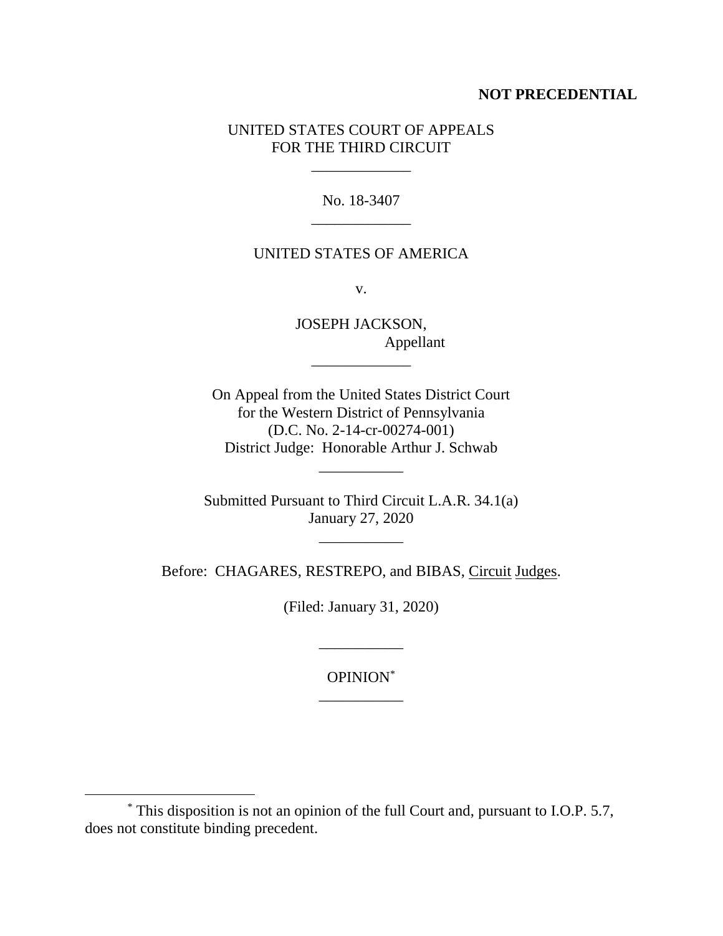## **NOT PRECEDENTIAL**

## UNITED STATES COURT OF APPEALS FOR THE THIRD CIRCUIT

\_\_\_\_\_\_\_\_\_\_\_\_\_

No. 18-3407 \_\_\_\_\_\_\_\_\_\_\_\_\_

## UNITED STATES OF AMERICA

v.

JOSEPH JACKSON, Appellant

\_\_\_\_\_\_\_\_\_\_\_\_\_

On Appeal from the United States District Court for the Western District of Pennsylvania (D.C. No. 2-14-cr-00274-001) District Judge: Honorable Arthur J. Schwab

\_\_\_\_\_\_\_\_\_\_\_

Submitted Pursuant to Third Circuit L.A.R. 34.1(a) January 27, 2020

\_\_\_\_\_\_\_\_\_\_\_

Before: CHAGARES, RESTREPO, and BIBAS, Circuit Judges.

(Filed: January 31, 2020)

\_\_\_\_\_\_\_\_\_\_\_

OPINION\* \_\_\_\_\_\_\_\_\_\_\_

 $\overline{a}$ 

<sup>\*</sup> This disposition is not an opinion of the full Court and, pursuant to I.O.P. 5.7, does not constitute binding precedent.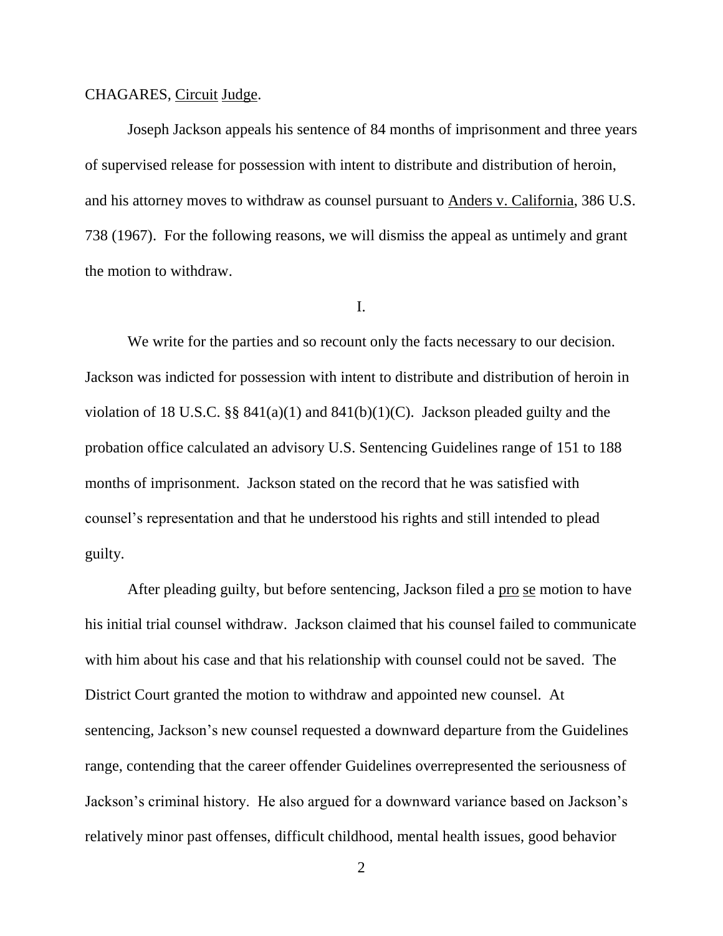#### CHAGARES, Circuit Judge.

Joseph Jackson appeals his sentence of 84 months of imprisonment and three years of supervised release for possession with intent to distribute and distribution of heroin, and his attorney moves to withdraw as counsel pursuant to Anders v. California, 386 U.S. 738 (1967). For the following reasons, we will dismiss the appeal as untimely and grant the motion to withdraw.

## I.

We write for the parties and so recount only the facts necessary to our decision. Jackson was indicted for possession with intent to distribute and distribution of heroin in violation of 18 U.S.C.  $\S$ § 841(a)(1) and 841(b)(1)(C). Jackson pleaded guilty and the probation office calculated an advisory U.S. Sentencing Guidelines range of 151 to 188 months of imprisonment. Jackson stated on the record that he was satisfied with counsel's representation and that he understood his rights and still intended to plead guilty.

After pleading guilty, but before sentencing, Jackson filed a pro se motion to have his initial trial counsel withdraw. Jackson claimed that his counsel failed to communicate with him about his case and that his relationship with counsel could not be saved. The District Court granted the motion to withdraw and appointed new counsel.At sentencing, Jackson's new counsel requested a downward departure from the Guidelines range, contending that the career offender Guidelines overrepresented the seriousness of Jackson's criminal history. He also argued for a downward variance based on Jackson's relatively minor past offenses, difficult childhood, mental health issues, good behavior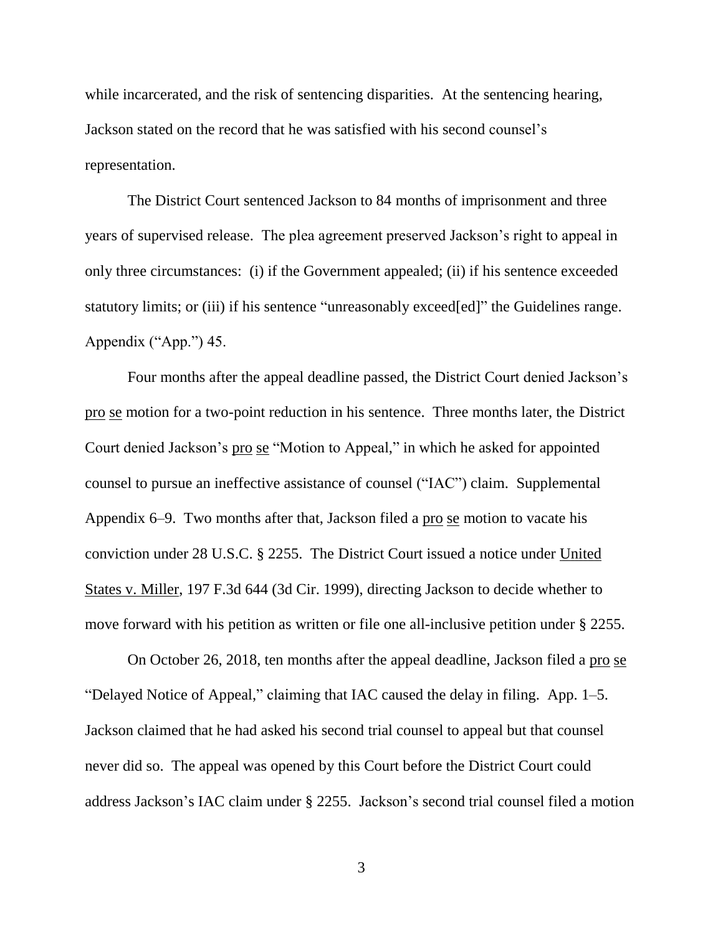while incarcerated, and the risk of sentencing disparities. At the sentencing hearing, Jackson stated on the record that he was satisfied with his second counsel's representation.

The District Court sentenced Jackson to 84 months of imprisonment and three years of supervised release. The plea agreement preserved Jackson's right to appeal in only three circumstances: (i) if the Government appealed; (ii) if his sentence exceeded statutory limits; or (iii) if his sentence "unreasonably exceed[ed]" the Guidelines range. Appendix ("App.") 45.

Four months after the appeal deadline passed, the District Court denied Jackson's pro se motion for a two-point reduction in his sentence. Three months later, the District Court denied Jackson's pro se "Motion to Appeal," in which he asked for appointed counsel to pursue an ineffective assistance of counsel ("IAC") claim. Supplemental Appendix 6–9. Two months after that, Jackson filed a <u>pro se</u> motion to vacate his conviction under 28 U.S.C. § 2255. The District Court issued a notice under United States v. Miller, 197 F.3d 644 (3d Cir. 1999), directing Jackson to decide whether to move forward with his petition as written or file one all-inclusive petition under § 2255.

On October 26, 2018, ten months after the appeal deadline, Jackson filed a pro se "Delayed Notice of Appeal," claiming that IAC caused the delay in filing. App. 1–5. Jackson claimed that he had asked his second trial counsel to appeal but that counsel never did so. The appeal was opened by this Court before the District Court could address Jackson's IAC claim under § 2255. Jackson's second trial counsel filed a motion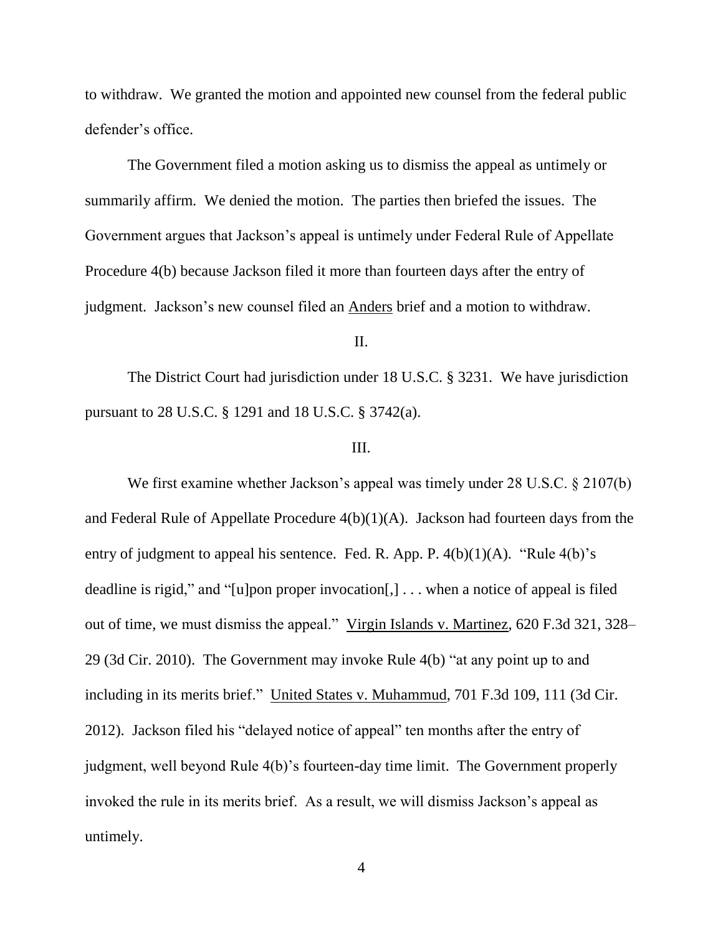to withdraw. We granted the motion and appointed new counsel from the federal public defender's office.

The Government filed a motion asking us to dismiss the appeal as untimely or summarily affirm. We denied the motion. The parties then briefed the issues. The Government argues that Jackson's appeal is untimely under Federal Rule of Appellate Procedure 4(b) because Jackson filed it more than fourteen days after the entry of judgment. Jackson's new counsel filed an Anders brief and a motion to withdraw.

II.

The District Court had jurisdiction under 18 U.S.C. § 3231. We have jurisdiction pursuant to 28 U.S.C. § 1291 and 18 U.S.C. § 3742(a).

#### III.

We first examine whether Jackson's appeal was timely under 28 U.S.C. § 2107(b) and Federal Rule of Appellate Procedure 4(b)(1)(A). Jackson had fourteen days from the entry of judgment to appeal his sentence. Fed. R. App. P.  $4(b)(1)(A)$ . "Rule  $4(b)$ "s deadline is rigid," and "[u]pon proper invocation[,] . . . when a notice of appeal is filed out of time, we must dismiss the appeal." Virgin Islands v. Martinez, 620 F.3d 321, 328– 29 (3d Cir. 2010). The Government may invoke Rule 4(b) "at any point up to and including in its merits brief." United States v. Muhammud, 701 F.3d 109, 111 (3d Cir. 2012). Jackson filed his "delayed notice of appeal" ten months after the entry of judgment, well beyond Rule 4(b)'s fourteen-day time limit. The Government properly invoked the rule in its merits brief. As a result, we will dismiss Jackson's appeal as untimely.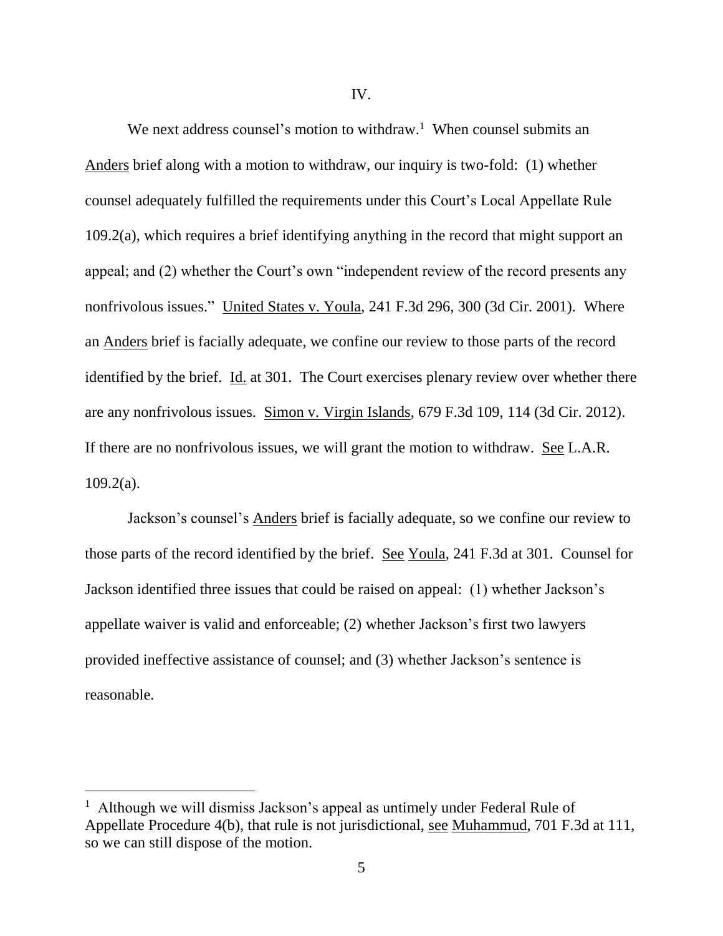IV.

We next address counsel's motion to withdraw.<sup>1</sup> When counsel submits an Anders brief along with a motion to withdraw, our inquiry is two-fold: (1) whether counsel adequately fulfilled the requirements under this Court's Local Appellate Rule 109.2(a), which requires a brief identifying anything in the record that might support an appeal; and (2) whether the Court's own "independent review of the record presents any nonfrivolous issues." United States v. Youla, 241 F.3d 296, 300 (3d Cir. 2001). Where an Anders brief is facially adequate, we confine our review to those parts of the record identified by the brief. Id. at 301. The Court exercises plenary review over whether there are any nonfrivolous issues. Simon v. Virgin Islands, 679 F.3d 109, 114 (3d Cir. 2012). If there are no nonfrivolous issues, we will grant the motion to withdraw. See L.A.R.  $109.2(a)$ .

Jackson's counsel's Anders brief is facially adequate, so we confine our review to those parts of the record identified by the brief. See Youla, 241 F.3d at 301. Counsel for Jackson identified three issues that could be raised on appeal: (1) whether Jackson's appellate waiver is valid and enforceable; (2) whether Jackson's first two lawyers provided ineffective assistance of counsel; and (3) whether Jackson's sentence is reasonable.

 $\overline{a}$ 

<sup>&</sup>lt;sup>1</sup> Although we will dismiss Jackson's appeal as untimely under Federal Rule of Appellate Procedure 4(b), that rule is not jurisdictional, see Muhammud, 701 F.3d at 111, so we can still dispose of the motion.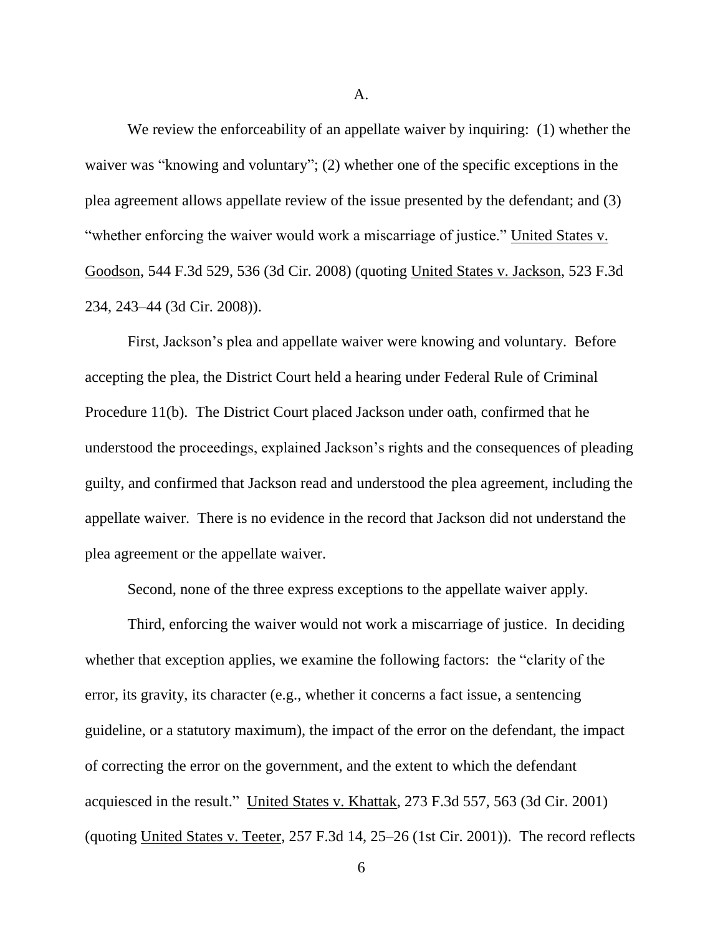A.

We review the enforceability of an appellate waiver by inquiring: (1) whether the waiver was "knowing and voluntary"; (2) whether one of the specific exceptions in the plea agreement allows appellate review of the issue presented by the defendant; and (3) "whether enforcing the waiver would work a miscarriage of justice." United States v. Goodson, 544 F.3d 529, 536 (3d Cir. 2008) (quoting United States v. Jackson, 523 F.3d 234, 243–44 (3d Cir. 2008)).

First, Jackson's plea and appellate waiver were knowing and voluntary. Before accepting the plea, the District Court held a hearing under Federal Rule of Criminal Procedure 11(b). The District Court placed Jackson under oath, confirmed that he understood the proceedings, explained Jackson's rights and the consequences of pleading guilty, and confirmed that Jackson read and understood the plea agreement, including the appellate waiver. There is no evidence in the record that Jackson did not understand the plea agreement or the appellate waiver.

Second, none of the three express exceptions to the appellate waiver apply.

Third, enforcing the waiver would not work a miscarriage of justice. In deciding whether that exception applies, we examine the following factors: the "clarity of the error, its gravity, its character (e.g., whether it concerns a fact issue, a sentencing guideline, or a statutory maximum), the impact of the error on the defendant, the impact of correcting the error on the government, and the extent to which the defendant acquiesced in the result." United States v. Khattak, 273 F.3d 557, 563 (3d Cir. 2001) (quoting United States v. Teeter, 257 F.3d 14, 25–26 (1st Cir. 2001)). The record reflects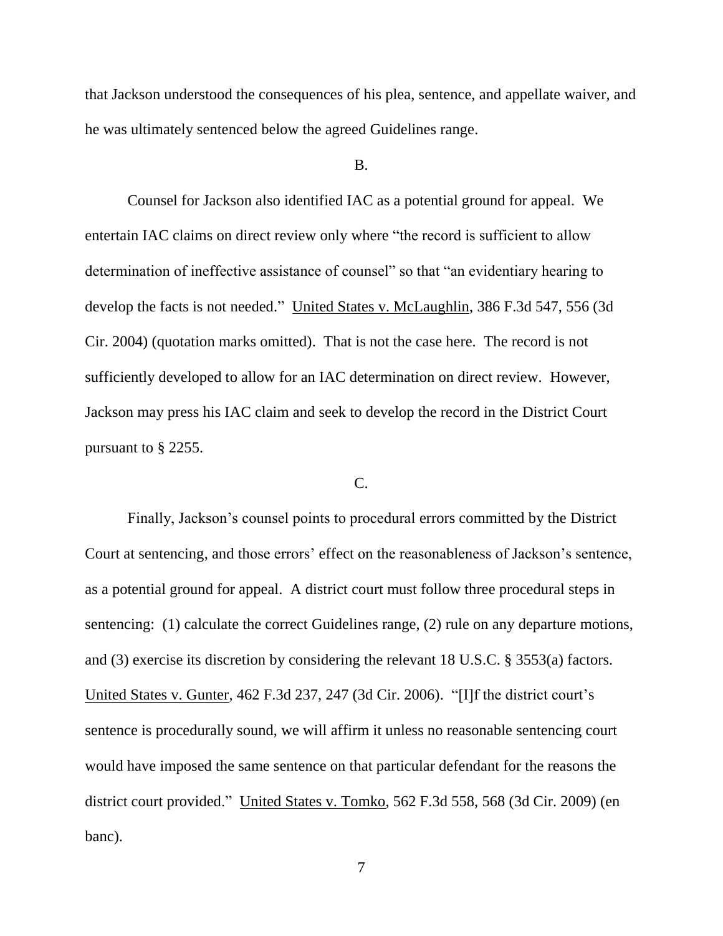that Jackson understood the consequences of his plea, sentence, and appellate waiver, and he was ultimately sentenced below the agreed Guidelines range.

#### B.

Counsel for Jackson also identified IAC as a potential ground for appeal. We entertain IAC claims on direct review only where "the record is sufficient to allow determination of ineffective assistance of counsel" so that "an evidentiary hearing to develop the facts is not needed." United States v. McLaughlin, 386 F.3d 547, 556 (3d Cir. 2004) (quotation marks omitted). That is not the case here. The record is not sufficiently developed to allow for an IAC determination on direct review. However, Jackson may press his IAC claim and seek to develop the record in the District Court pursuant to § 2255.

### $C_{\cdot}$

Finally, Jackson's counsel points to procedural errors committed by the District Court at sentencing, and those errors' effect on the reasonableness of Jackson's sentence, as a potential ground for appeal. A district court must follow three procedural steps in sentencing: (1) calculate the correct Guidelines range, (2) rule on any departure motions, and (3) exercise its discretion by considering the relevant 18 U.S.C. § 3553(a) factors. United States v. Gunter, 462 F.3d 237, 247 (3d Cir. 2006). "[I]f the district court's sentence is procedurally sound, we will affirm it unless no reasonable sentencing court would have imposed the same sentence on that particular defendant for the reasons the district court provided." United States v. Tomko, 562 F.3d 558, 568 (3d Cir. 2009) (en banc).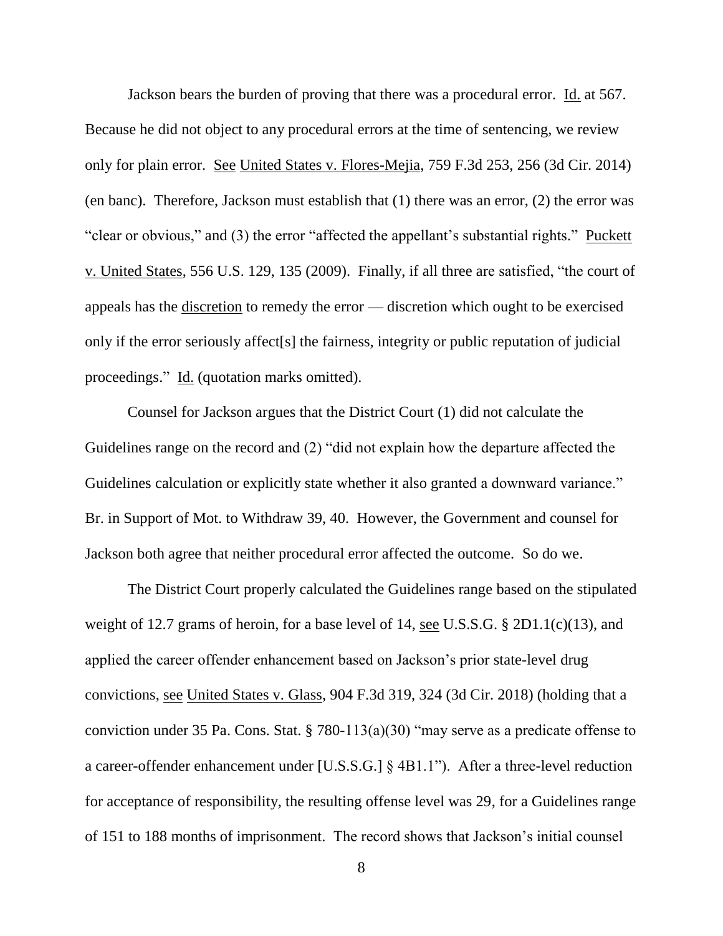Jackson bears the burden of proving that there was a procedural error. Id. at 567. Because he did not object to any procedural errors at the time of sentencing, we review only for plain error. See United States v. Flores-Mejia, 759 F.3d 253, 256 (3d Cir. 2014) (en banc). Therefore, Jackson must establish that (1) there was an error, (2) the error was "clear or obvious," and (3) the error "affected the appellant's substantial rights." Puckett v. United States, 556 U.S. 129, 135 (2009). Finally, if all three are satisfied, "the court of appeals has the discretion to remedy the error — discretion which ought to be exercised only if the error seriously affect[s] the fairness, integrity or public reputation of judicial proceedings." Id. (quotation marks omitted).

Counsel for Jackson argues that the District Court (1) did not calculate the Guidelines range on the record and (2) "did not explain how the departure affected the Guidelines calculation or explicitly state whether it also granted a downward variance." Br. in Support of Mot. to Withdraw 39, 40. However, the Government and counsel for Jackson both agree that neither procedural error affected the outcome. So do we.

The District Court properly calculated the Guidelines range based on the stipulated weight of 12.7 grams of heroin, for a base level of 14, see U.S.S.G. § 2D1.1(c)(13), and applied the career offender enhancement based on Jackson's prior state-level drug convictions, see United States v. Glass, 904 F.3d 319, 324 (3d Cir. 2018) (holding that a conviction under 35 Pa. Cons. Stat. § 780-113(a)(30) "may serve as a predicate offense to a career-offender enhancement under [U.S.S.G.] § 4B1.1"). After a three-level reduction for acceptance of responsibility, the resulting offense level was 29, for a Guidelines range of 151 to 188 months of imprisonment. The record shows that Jackson's initial counsel